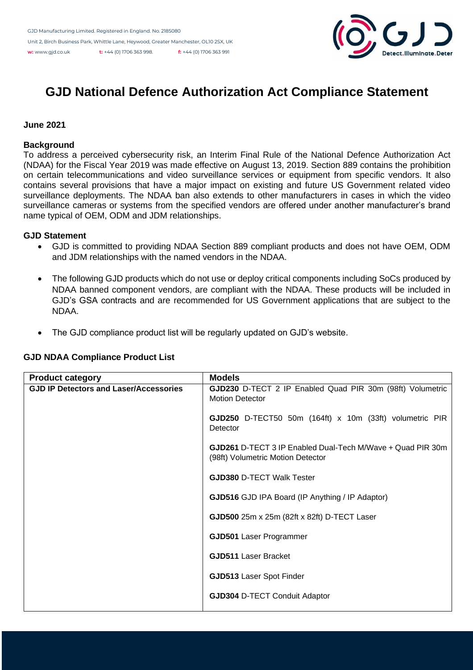

# **GJD National Defence Authorization Act Compliance Statement**

# **June 2021**

### **Background**

To address a perceived cybersecurity risk, an Interim Final Rule of the National Defence Authorization Act (NDAA) for the Fiscal Year 2019 was made effective on August 13, 2019. Section 889 contains the prohibition on certain telecommunications and video surveillance services or equipment from specific vendors. It also contains several provisions that have a major impact on existing and future US Government related video surveillance deployments. The NDAA ban also extends to other manufacturers in cases in which the video surveillance cameras or systems from the specified vendors are offered under another manufacturer's brand name typical of OEM, ODM and JDM relationships.

# **GJD Statement**

- GJD is committed to providing NDAA Section 889 compliant products and does not have OEM, ODM and JDM relationships with the named vendors in the NDAA.
- The following GJD products which do not use or deploy critical components including SoCs produced by NDAA banned component vendors, are compliant with the NDAA. These products will be included in GJD's GSA contracts and are recommended for US Government applications that are subject to the NDAA.
- The GJD compliance product list will be regularly updated on GJD's website.

| <b>Product category</b>                       | <b>Models</b>                                                                                          |
|-----------------------------------------------|--------------------------------------------------------------------------------------------------------|
| <b>GJD IP Detectors and Laser/Accessories</b> | GJD230 D-TECT 2 IP Enabled Quad PIR 30m (98ft) Volumetric<br><b>Motion Detector</b>                    |
|                                               | GJD250 D-TECT50 50m (164ft) x 10m (33ft) volumetric PIR<br>Detector                                    |
|                                               | <b>GJD261</b> D-TECT 3 IP Enabled Dual-Tech M/Wave + Quad PIR 30m<br>(98ft) Volumetric Motion Detector |
|                                               | <b>GJD380 D-TECT Walk Tester</b>                                                                       |
|                                               | GJD516 GJD IPA Board (IP Anything / IP Adaptor)                                                        |
|                                               | GJD500 25m x 25m (82ft x 82ft) D-TECT Laser                                                            |
|                                               | <b>GJD501</b> Laser Programmer                                                                         |
|                                               | <b>GJD511 Laser Bracket</b>                                                                            |
|                                               | <b>GJD513 Laser Spot Finder</b>                                                                        |
|                                               | <b>GJD304 D-TECT Conduit Adaptor</b>                                                                   |

### **GJD NDAA Compliance Product List**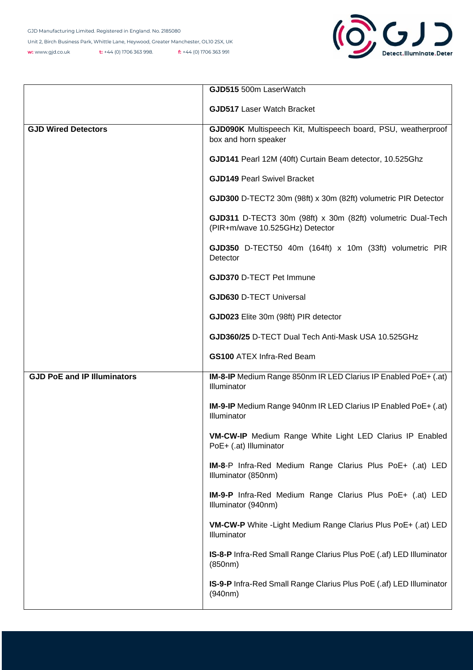

|                                    | GJD515 500m LaserWatch                                                                         |
|------------------------------------|------------------------------------------------------------------------------------------------|
|                                    | <b>GJD517 Laser Watch Bracket</b>                                                              |
| <b>GJD Wired Detectors</b>         | GJD090K Multispeech Kit, Multispeech board, PSU, weatherproof<br>box and horn speaker          |
|                                    | GJD141 Pearl 12M (40ft) Curtain Beam detector, 10.525Ghz                                       |
|                                    | <b>GJD149 Pearl Swivel Bracket</b>                                                             |
|                                    | GJD300 D-TECT2 30m (98ft) x 30m (82ft) volumetric PIR Detector                                 |
|                                    | GJD311 D-TECT3 30m (98ft) x 30m (82ft) volumetric Dual-Tech<br>(PIR+m/wave 10.525GHz) Detector |
|                                    | GJD350 D-TECT50 40m (164ft) x 10m (33ft) volumetric PIR<br>Detector                            |
|                                    | <b>GJD370 D-TECT Pet Immune</b>                                                                |
|                                    | <b>GJD630 D-TECT Universal</b>                                                                 |
|                                    | GJD023 Elite 30m (98ft) PIR detector                                                           |
|                                    | GJD360/25 D-TECT Dual Tech Anti-Mask USA 10.525GHz                                             |
|                                    | <b>GS100 ATEX Infra-Red Beam</b>                                                               |
| <b>GJD PoE and IP Illuminators</b> | IM-8-IP Medium Range 850nm IR LED Clarius IP Enabled PoE+ (.at)<br>Illuminator                 |
|                                    | IM-9-IP Medium Range 940nm IR LED Clarius IP Enabled PoE+ (.at)<br>Illuminator                 |
|                                    | VM-CW-IP Medium Range White Light LED Clarius IP Enabled<br>PoE+ (.at) Illuminator             |
|                                    | IM-8-P Infra-Red Medium Range Clarius Plus PoE+ (.at) LED<br>Illuminator (850nm)               |
|                                    | IM-9-P Infra-Red Medium Range Clarius Plus PoE+ (.at) LED<br>Illuminator (940nm)               |
|                                    | VM-CW-P White - Light Medium Range Clarius Plus PoE+ (.at) LED<br>Illuminator                  |
|                                    | IS-8-P Infra-Red Small Range Clarius Plus PoE (.af) LED Illuminator<br>(850nm)                 |
|                                    | <b>IS-9-P</b> Infra-Red Small Range Clarius Plus PoE (.af) LED Illuminator<br>(940nm)          |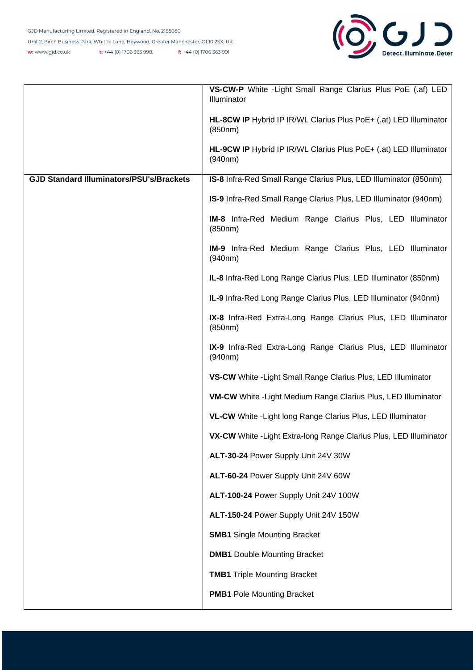

|                                                 | VS-CW-P White - Light Small Range Clarius Plus PoE (.af) LED<br>Illuminator  |
|-------------------------------------------------|------------------------------------------------------------------------------|
|                                                 | HL-8CW IP Hybrid IP IR/WL Clarius Plus PoE+ (.at) LED Illuminator<br>(850nm) |
|                                                 | HL-9CW IP Hybrid IP IR/WL Clarius Plus PoE+ (.at) LED Illuminator<br>(940nm) |
| <b>GJD Standard Illuminators/PSU's/Brackets</b> | IS-8 Infra-Red Small Range Clarius Plus, LED Illuminator (850nm)             |
|                                                 | IS-9 Infra-Red Small Range Clarius Plus, LED Illuminator (940nm)             |
|                                                 | IM-8 Infra-Red Medium Range Clarius Plus, LED Illuminator<br>(850nm)         |
|                                                 | IM-9 Infra-Red Medium Range Clarius Plus, LED Illuminator<br>(940nm)         |
|                                                 | IL-8 Infra-Red Long Range Clarius Plus, LED Illuminator (850nm)              |
|                                                 | IL-9 Infra-Red Long Range Clarius Plus, LED Illuminator (940nm)              |
|                                                 | IX-8 Infra-Red Extra-Long Range Clarius Plus, LED Illuminator<br>(850nm)     |
|                                                 | IX-9 Infra-Red Extra-Long Range Clarius Plus, LED Illuminator<br>(940nm)     |
|                                                 | VS-CW White - Light Small Range Clarius Plus, LED Illuminator                |
|                                                 | <b>VM-CW</b> White - Light Medium Range Clarius Plus, LED Illuminator        |
|                                                 | VL-CW White - Light long Range Clarius Plus, LED Illuminator                 |
|                                                 | VX-CW White - Light Extra-long Range Clarius Plus, LED Illuminator           |
|                                                 | ALT-30-24 Power Supply Unit 24V 30W                                          |
|                                                 | ALT-60-24 Power Supply Unit 24V 60W                                          |
|                                                 | ALT-100-24 Power Supply Unit 24V 100W                                        |
|                                                 | ALT-150-24 Power Supply Unit 24V 150W                                        |
|                                                 | <b>SMB1</b> Single Mounting Bracket                                          |
|                                                 | <b>DMB1</b> Double Mounting Bracket                                          |
|                                                 | <b>TMB1</b> Triple Mounting Bracket                                          |
|                                                 | <b>PMB1</b> Pole Mounting Bracket                                            |